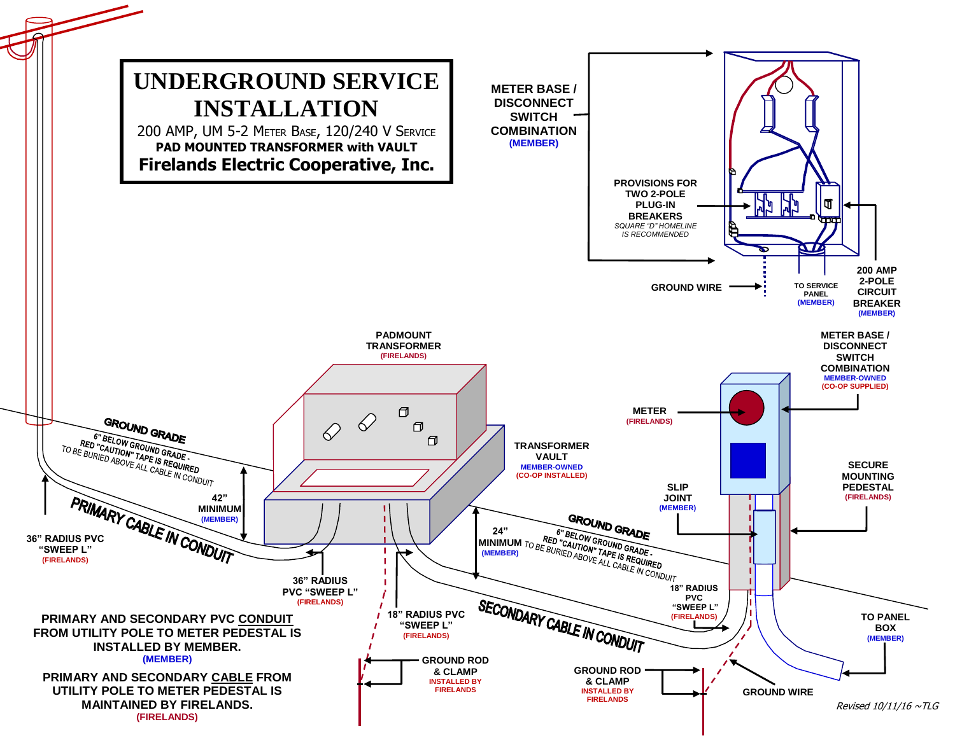